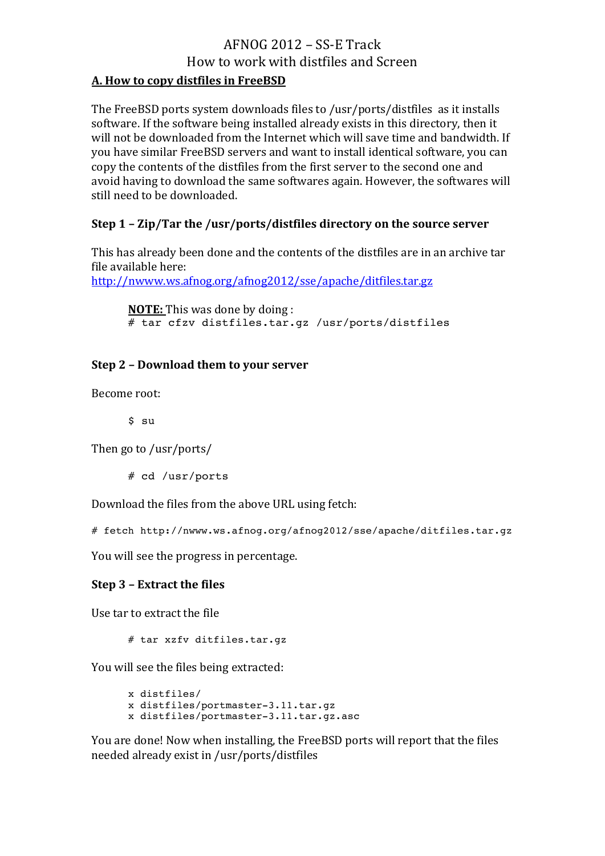# $AFNOG$   $2012 - SS-E$  Track How to work with distfiles and Screen

## **A. How to copy distfiles in FreeBSD**

The FreeBSD ports system downloads files to /usr/ports/distfiles as it installs software. If the software being installed already exists in this directory, then it will not be downloaded from the Internet which will save time and bandwidth. If you have similar FreeBSD servers and want to install identical software, you can copy the contents of the distfiles from the first server to the second one and avoid having to download the same softwares again. However, the softwares will still need to be downloaded.

## **Step 1 - Zip/Tar the /usr/ports/distfiles directory on the source server**

This has already been done and the contents of the distfiles are in an archive tar file available here:

http://nwww.ws.afnog.org/afnog2012/sse/apache/ditfiles.tar.gz

**NOTE:** This was done by doing : # tar cfzv distfiles.tar.gz /usr/ports/distfiles

## **Step 2 - Download them to your server**

Become root:

\$ su

Then go to /usr/ports/

# cd /usr/ports

Download the files from the above URL using fetch:

# fetch http://nwww.ws.afnog.org/afnog2012/sse/apache/ditfiles.tar.gz

You will see the progress in percentage.

## **Step 3 - Extract the files**

Use tar to extract the file

# tar xzfv ditfiles.tar.gz

You will see the files being extracted:

x distfiles/ x distfiles/portmaster-3.11.tar.gz x distfiles/portmaster-3.11.tar.gz.asc

You are done! Now when installing, the FreeBSD ports will report that the files needed already exist in /usr/ports/distfiles